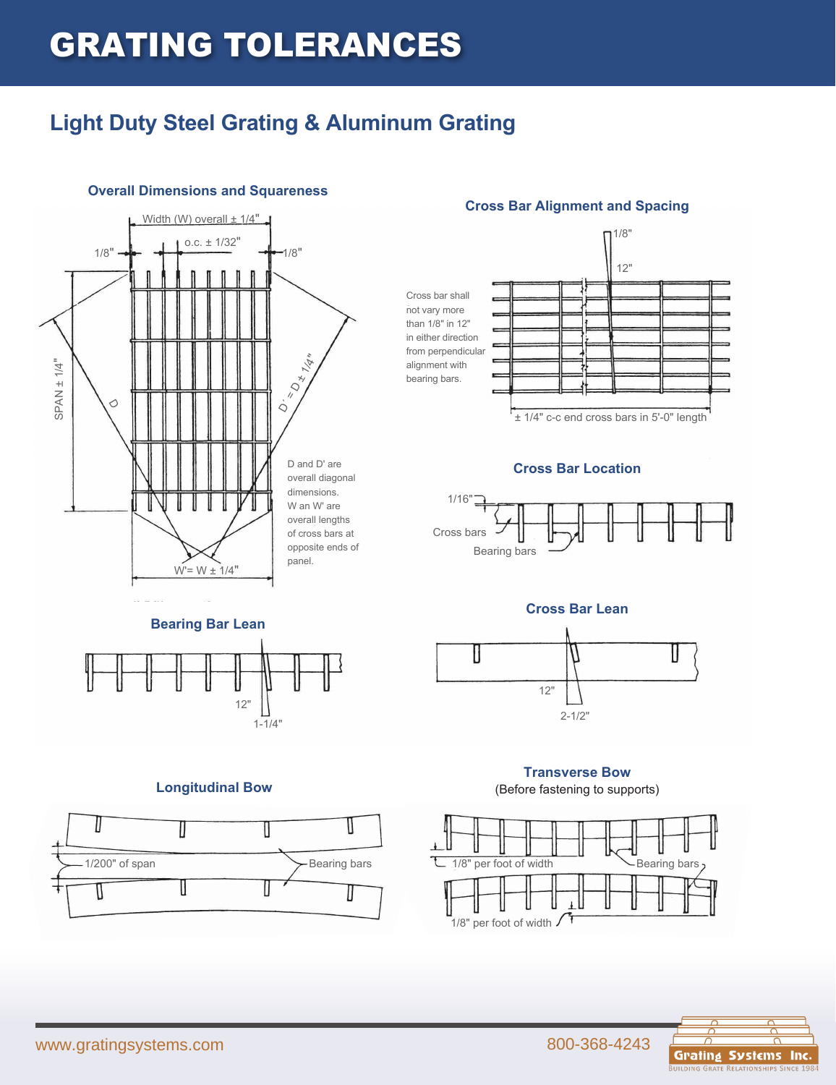# GRATING TOLERANCES

### **Light Duty Steel Grating & Aluminum Grating**



#### **Overall Dimensions and Squareness**



#### **Cross Bar Alignment and Spacing**



± 1/4" c-c end cross bars in 5'-0" length

#### **Cross Bar Location**



#### **Cross Bar Lean**



#### **Transverse Bow**

(Before fastening to supports)